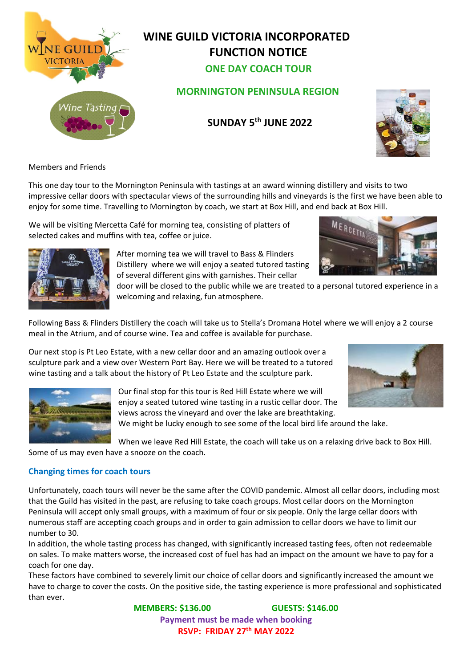

### **WINE GUILD VICTORIA INCORPORATED FUNCTION NOTICE ONE DAY COACH TOUR**



### **SUNDAY 5 th JUNE 2022**



Members and Friends

This one day tour to the Mornington Peninsula with tastings at an award winning distillery and visits to two impressive cellar doors with spectacular views of the surrounding hills and vineyards is the first we have been able to enjoy for some time. Travelling to Mornington by coach, we start at Box Hill, and end back at Box Hill.

We will be visiting Mercetta Café for morning tea, consisting of platters of selected cakes and muffins with tea, coffee or juice.



After morning tea we will travel to Bass & Flinders Distillery where we will enjoy a seated tutored tasting of several different gins with garnishes. Their cellar

door will be closed to the public while we are treated to a personal tutored experience in a welcoming and relaxing, fun atmosphere.

Following Bass & Flinders Distillery the coach will take us to Stella's Dromana Hotel where we will enjoy a 2 course meal in the Atrium, and of course wine. Tea and coffee is available for purchase.

Our next stop is Pt Leo Estate, with a new cellar door and an amazing outlook over a sculpture park and a view over Western Port Bay. Here we will be treated to a tutored wine tasting and a talk about the history of Pt Leo Estate and the sculpture park.





Our final stop for this tour is Red Hill Estate where we will enjoy a seated tutored wine tasting in a rustic cellar door. The views across the vineyard and over the lake are breathtaking.

We might be lucky enough to see some of the local bird life around the lake.

When we leave Red Hill Estate, the coach will take us on a relaxing drive back to Box Hill. Some of us may even have a snooze on the coach.

#### **Changing times for coach tours**

Unfortunately, coach tours will never be the same after the COVID pandemic. Almost all cellar doors, including most that the Guild has visited in the past, are refusing to take coach groups. Most cellar doors on the Mornington Peninsula will accept only small groups, with a maximum of four or six people. Only the large cellar doors with numerous staff are accepting coach groups and in order to gain admission to cellar doors we have to limit our number to 30.

In addition, the whole tasting process has changed, with significantly increased tasting fees, often not redeemable on sales. To make matters worse, the increased cost of fuel has had an impact on the amount we have to pay for a coach for one day.

These factors have combined to severely limit our choice of cellar doors and significantly increased the amount we have to charge to cover the costs. On the positive side, the tasting experience is more professional and sophisticated than ever.

> **MEMBERS: \$136.00 GUESTS: \$146.00 Payment must be made when booking RSVP: FRIDAY 27th MAY 2022**